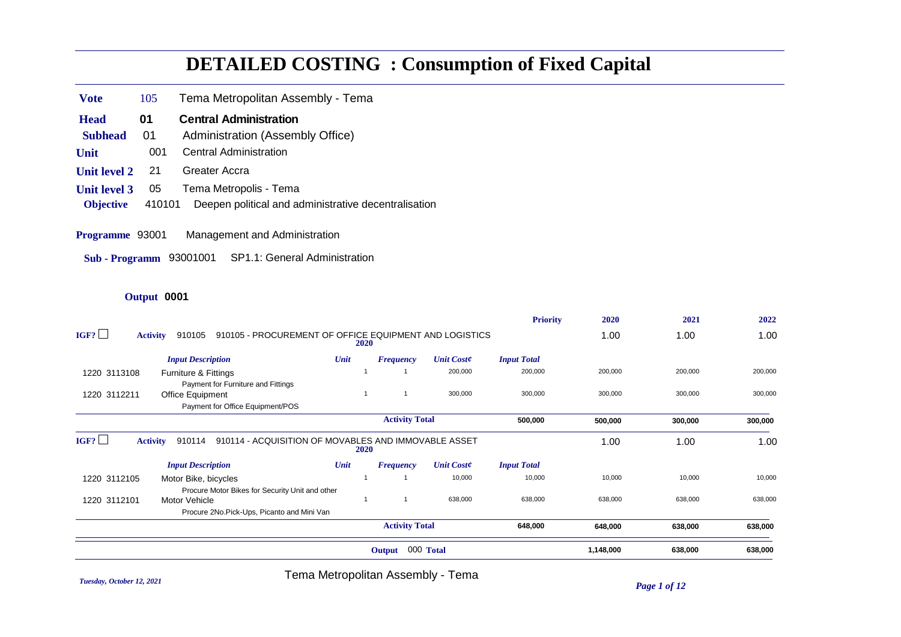# **DETAILED COSTING : Consumption of Fixed Capital**

- **Vote** 105 Tema Metropolitan Assembly Tema
- **Head** 01 Central Administration
- **Subhead** 01 Administration (Assembly Office)
- **Unit** 001 Central Administration
- **Unit level 2** 21 Greater Accra
- **Unit level 3** 05 Tema Metropolis Tema
- **Objective** 410101 Deepen political and administrative decentralisation
- **Programme** 93001 Management and Administration
- **Sub Programm** 93001001 SP1.1: General Administration

#### **Output** 0001

|              |                                                                                     |             |                       |                   | <b>Priority</b>    | 2020      | 2021    | 2022    |
|--------------|-------------------------------------------------------------------------------------|-------------|-----------------------|-------------------|--------------------|-----------|---------|---------|
| IGF?         | 910105 - PROCUREMENT OF OFFICE EQUIPMENT AND LOGISTICS<br>910105<br><b>Activity</b> | <b>2020</b> |                       |                   |                    | 1.00      | 1.00    | 1.00    |
|              | <b>Input Description</b>                                                            | Unit        | <b>Frequency</b>      | <b>Unit Coste</b> | <b>Input Total</b> |           |         |         |
| 1220 3113108 | Furniture & Fittings                                                                |             |                       | 200,000           | 200,000            | 200,000   | 200,000 | 200,000 |
|              | Payment for Furniture and Fittings                                                  |             |                       |                   |                    |           |         |         |
| 1220 3112211 | Office Equipment                                                                    |             |                       | 300,000           | 300,000            | 300,000   | 300,000 | 300,000 |
|              | Payment for Office Equipment/POS                                                    |             |                       |                   |                    |           |         |         |
|              |                                                                                     |             | <b>Activity Total</b> |                   | 500,000            | 500,000   | 300,000 | 300,000 |
| IGF?         | 910114 - ACQUISITION OF MOVABLES AND IMMOVABLE ASSET<br><b>Activity</b><br>910114   | <b>2020</b> |                       |                   |                    | 1.00      | 1.00    | 1.00    |
|              | <b>Input Description</b>                                                            | Unit        | <b>Frequency</b>      | <b>Unit Coste</b> | <b>Input Total</b> |           |         |         |
| 1220 3112105 | Motor Bike, bicycles                                                                |             |                       | 10,000            | 10,000             | 10,000    | 10,000  | 10,000  |
|              | Procure Motor Bikes for Security Unit and other                                     |             |                       |                   |                    |           |         |         |
| 1220 3112101 | Motor Vehicle                                                                       |             |                       | 638,000           | 638,000            | 638,000   | 638,000 | 638,000 |
|              | Procure 2No.Pick-Ups, Picanto and Mini Van                                          |             |                       |                   |                    |           |         |         |
|              |                                                                                     |             | <b>Activity Total</b> |                   | 648,000            | 648,000   | 638,000 | 638,000 |
|              |                                                                                     |             | Output                | 000 Total         |                    | 1,148,000 | 638,000 | 638,000 |
|              |                                                                                     |             |                       |                   |                    |           |         |         |

*Tuesday, October 12, 2021 Page 1 of 12* Tema Metropolitan Assembly - Tema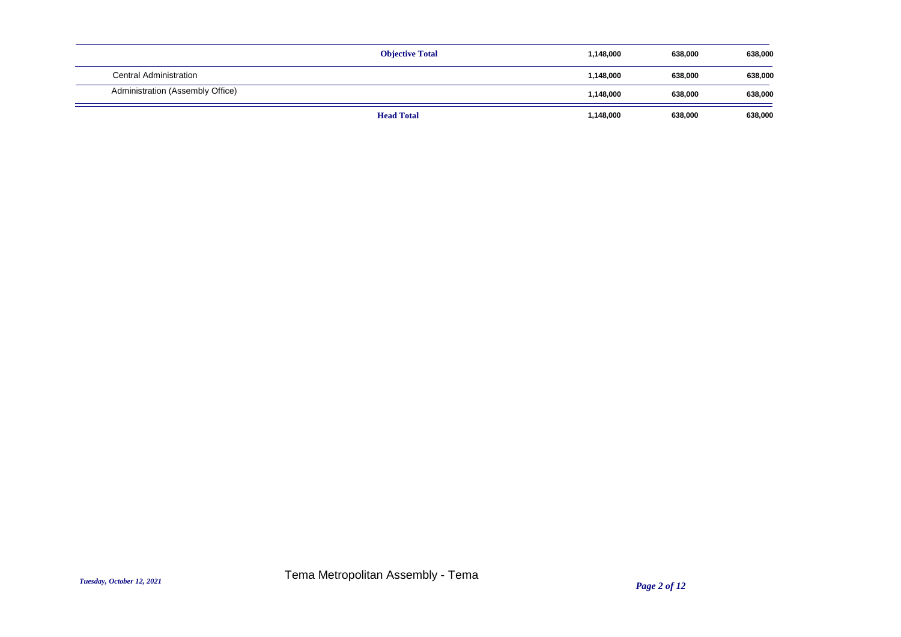|                                  | <b>Objective Total</b> | 1,148,000 | 638,000 | 638,000 |
|----------------------------------|------------------------|-----------|---------|---------|
| Central Administration           |                        | 1,148,000 | 638,000 | 638,000 |
| Administration (Assembly Office) |                        | 1,148,000 | 638,000 | 638,000 |
|                                  | <b>Head Total</b>      | 1,148,000 | 638,000 | 638,000 |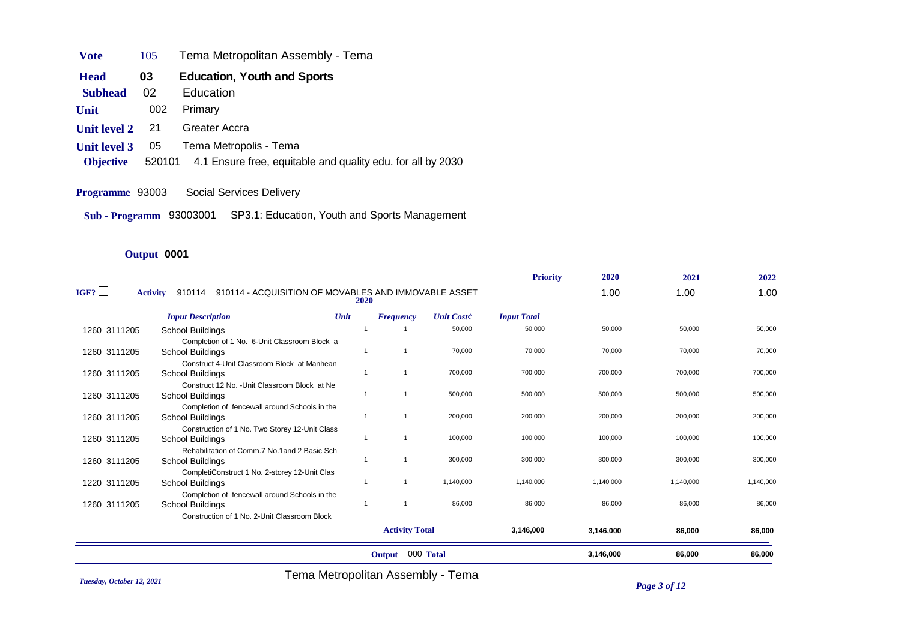- **Vote** 105 Tema Metropolitan Assembly Tema
- **Head** 03 Education, Youth and Sports
- **Subhead** 02 Education
- **Unit** 002 Primary
- **Unit level 2** 21 Greater Accra
- **Unit level 3** 05 Tema Metropolis Tema
- **Objective** 520101 4.1 Ensure free, equitable and quality edu. for all by 2030
- **Programme** 93003 Social Services Delivery
- **Sub Programm** 93003001 SP3.1: Education, Youth and Sports Management

## **Output** 0001

|              |                                                                                   |                |                       |                   | <b>Priority</b>    | 2020      | 2021      | 2022      |
|--------------|-----------------------------------------------------------------------------------|----------------|-----------------------|-------------------|--------------------|-----------|-----------|-----------|
| IGF?         | 910114 - ACQUISITION OF MOVABLES AND IMMOVABLE ASSET<br><b>Activity</b><br>910114 | 2020           |                       |                   |                    | 1.00      | 1.00      | 1.00      |
|              | <b>Input Description</b>                                                          | Unit           | <b>Frequency</b>      | <b>Unit Coste</b> | <b>Input Total</b> |           |           |           |
| 1260 3111205 | School Buildings                                                                  |                |                       | 50,000            | 50,000             | 50,000    | 50,000    | 50,000    |
|              | Completion of 1 No. 6-Unit Classroom Block a                                      |                |                       |                   |                    |           |           |           |
| 1260 3111205 | School Buildings                                                                  |                |                       | 70,000            | 70,000             | 70,000    | 70,000    | 70,000    |
|              | Construct 4-Unit Classroom Block at Manhean                                       |                |                       |                   |                    |           |           |           |
| 1260 3111205 | School Buildings                                                                  | -1             |                       | 700,000           | 700,000            | 700,000   | 700,000   | 700,000   |
|              | Construct 12 No. - Unit Classroom Block at Ne                                     |                |                       |                   |                    |           |           |           |
| 1260 3111205 | School Buildings                                                                  | $\overline{1}$ |                       | 500,000           | 500,000            | 500,000   | 500,000   | 500,000   |
|              | Completion of fencewall around Schools in the                                     |                |                       |                   |                    |           |           |           |
| 1260 3111205 | <b>School Buildings</b>                                                           | -1             |                       | 200,000           | 200,000            | 200,000   | 200,000   | 200,000   |
|              | Construction of 1 No. Two Storey 12-Unit Class                                    |                |                       |                   |                    |           |           |           |
| 1260 3111205 | School Buildings                                                                  |                | $\mathbf{1}$          | 100,000           | 100,000            | 100,000   | 100,000   | 100,000   |
|              | Rehabilitation of Comm.7 No.1 and 2 Basic Sch                                     |                | $\overline{1}$        |                   |                    |           |           |           |
| 1260 3111205 | School Buildings                                                                  | $\overline{1}$ |                       | 300,000           | 300,000            | 300,000   | 300,000   | 300,000   |
|              | CompletiConstruct 1 No. 2-storey 12-Unit Clas                                     | -1             |                       |                   |                    |           |           |           |
| 1220 3111205 | School Buildings                                                                  |                |                       | 1,140,000         | 1,140,000          | 1,140,000 | 1,140,000 | 1,140,000 |
|              | Completion of fencewall around Schools in the                                     | $\overline{1}$ |                       | 86,000            | 86,000             | 86,000    | 86,000    | 86,000    |
| 1260 3111205 | School Buildings                                                                  |                |                       |                   |                    |           |           |           |
|              | Construction of 1 No. 2-Unit Classroom Block                                      |                |                       |                   |                    |           |           |           |
|              |                                                                                   |                | <b>Activity Total</b> |                   | 3,146,000          | 3,146,000 | 86,000    | 86,000    |
|              |                                                                                   |                | Output                | 000 Total         |                    | 3,146,000 | 86,000    | 86,000    |

*Tuesday, October 12, 2021 Page 3 of 12* Tema Metropolitan Assembly - Tema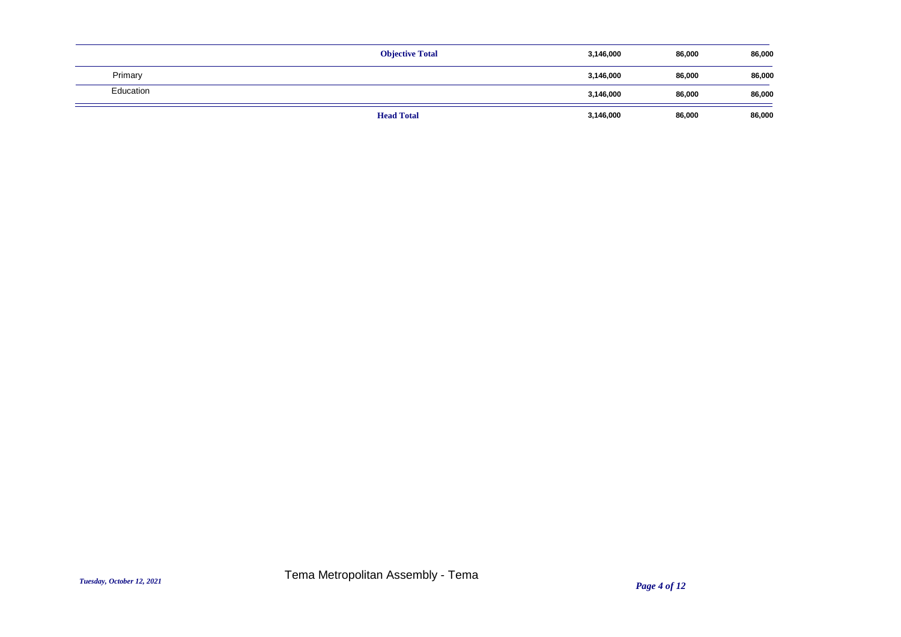|           | <b>Objective Total</b> | 3,146,000 | 86,000 | 86,000 |
|-----------|------------------------|-----------|--------|--------|
| Primary   |                        | 3,146,000 | 86,000 | 86,000 |
| Education |                        | 3,146,000 | 86,000 | 86,000 |
|           | <b>Head Total</b>      | 3,146,000 | 86,000 | 86,000 |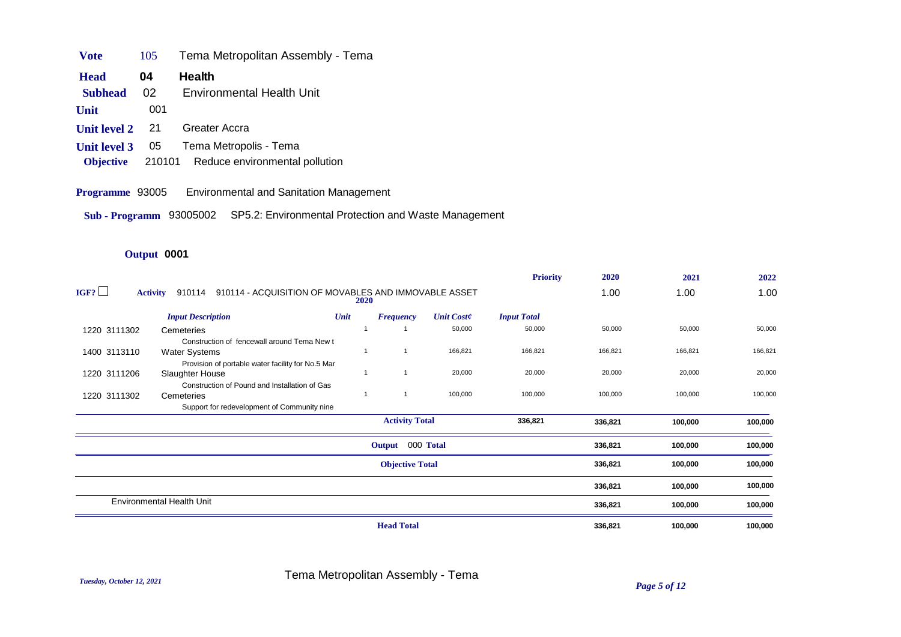| <b>Vote</b><br>105 | Tema Metropolitan Assembly - Tema |  |
|--------------------|-----------------------------------|--|
|--------------------|-----------------------------------|--|

- **Head** 04 Health
- **Subhead** 02 Environmental Health Unit
- **Unit** 001
- **Unit level 2** 21 Greater Accra
- **Unit level 3** 05 Tema Metropolis Tema
- **Objective** 210101 Reduce environmental pollution
- **Programme** 93005 Environmental and Sanitation Management
- **Sub Programm** 93005002 SP5.2: Environmental Protection and Waste Management

# **Output** 0001

|              |                                                                                   |                |                        |                   | <b>Priority</b>    | 2020    | 2021    | 2022    |
|--------------|-----------------------------------------------------------------------------------|----------------|------------------------|-------------------|--------------------|---------|---------|---------|
| IGF?         | 910114 - ACQUISITION OF MOVABLES AND IMMOVABLE ASSET<br><b>Activity</b><br>910114 | <b>2020</b>    |                        |                   |                    | 1.00    | 1.00    | 1.00    |
|              | <b>Input Description</b>                                                          | Unit           | <b>Frequency</b>       | <b>Unit Coste</b> | <b>Input Total</b> |         |         |         |
| 1220 3111302 | Cemeteries                                                                        |                |                        | 50,000            | 50,000             | 50,000  | 50,000  | 50,000  |
|              | Construction of fencewall around Tema New t                                       |                |                        |                   |                    |         |         |         |
| 1400 3113110 | <b>Water Systems</b>                                                              | $\overline{1}$ | $\overline{1}$         | 166,821           | 166,821            | 166,821 | 166,821 | 166,821 |
|              | Provision of portable water facility for No.5 Mar                                 |                |                        |                   |                    |         |         |         |
| 1220 3111206 | Slaughter House                                                                   |                |                        | 20,000            | 20,000             | 20,000  | 20,000  | 20,000  |
|              | Construction of Pound and Installation of Gas                                     |                |                        |                   |                    |         |         |         |
| 1220 3111302 | Cemeteries                                                                        | $\overline{1}$ |                        | 100,000           | 100,000            | 100,000 | 100,000 | 100,000 |
|              | Support for redevelopment of Community nine                                       |                |                        |                   |                    |         |         |         |
|              |                                                                                   |                | <b>Activity Total</b>  |                   | 336,821            | 336,821 | 100,000 | 100,000 |
|              |                                                                                   |                | Output 000 Total       |                   |                    | 336,821 | 100,000 | 100,000 |
|              |                                                                                   |                | <b>Objective Total</b> |                   |                    | 336,821 | 100,000 | 100,000 |
|              |                                                                                   |                |                        |                   |                    | 336,821 | 100,000 | 100,000 |
|              | <b>Environmental Health Unit</b>                                                  |                |                        |                   |                    | 336,821 | 100,000 | 100,000 |
|              |                                                                                   |                | <b>Head Total</b>      |                   |                    | 336,821 | 100,000 | 100,000 |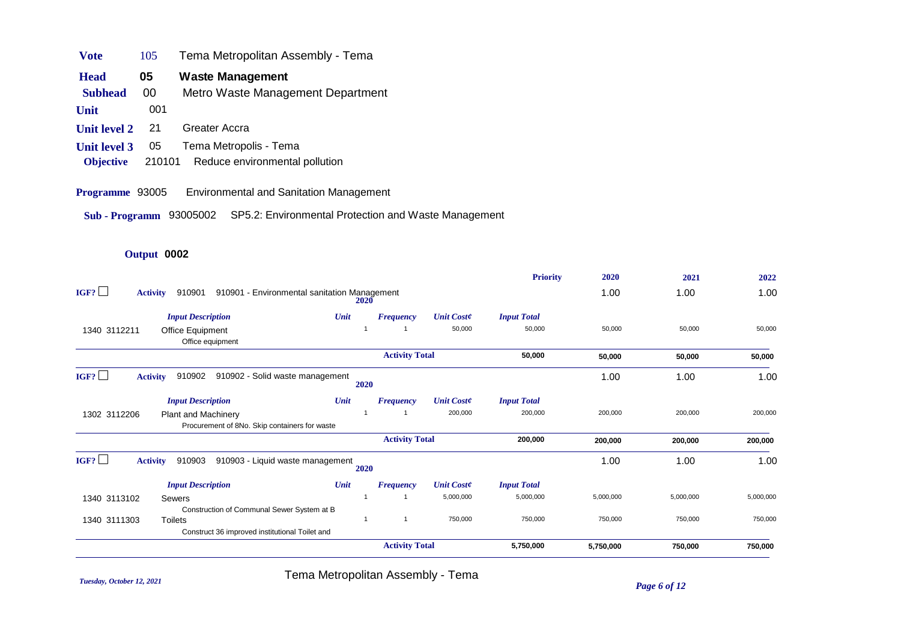| <b>Vote</b>         | 105 | Tema Metropolitan Assembly - Tema |
|---------------------|-----|-----------------------------------|
| <b>Head</b>         | 05  | Waste Management                  |
| <b>Subhead</b>      | 00  | Metro Waste Management Department |
| Unit                | 001 |                                   |
| <b>Unit level 2</b> | 21  | Greater Accra                     |
| <b>Unit level 3</b> | 05  | Tema Metropolis - Tema            |

- **Objective** 210101 Reduce environmental pollution
- **Programme** 93005 Environmental and Sanitation Management

**Sub - Programm** 93005002 SP5.2: Environmental Protection and Waste Management

## **Output** 0002

|              |                                                                             |                                              |      |                       |                   | <b>Priority</b>    | 2020      | 2021      | 2022      |
|--------------|-----------------------------------------------------------------------------|----------------------------------------------|------|-----------------------|-------------------|--------------------|-----------|-----------|-----------|
| IGF?         | <b>Activity</b><br>910901                                                   | 910901 - Environmental sanitation Management | 2020 |                       |                   |                    | 1.00      | 1.00      | 1.00      |
|              | <b>Input Description</b>                                                    | Unit                                         |      | <b>Frequency</b>      | <b>Unit Coste</b> | <b>Input Total</b> |           |           |           |
| 1340 3112211 | <b>Office Equipment</b><br>Office equipment                                 |                                              |      |                       | 50,000            | 50,000             | 50.000    | 50,000    | 50,000    |
|              |                                                                             |                                              |      | <b>Activity Total</b> |                   | 50,000             | 50,000    | 50,000    | 50,000    |
| IGF?         | 910902<br><b>Activity</b>                                                   | 910902 - Solid waste management              | 2020 |                       |                   |                    | 1.00      | 1.00      | 1.00      |
|              | <b>Input Description</b>                                                    | Unit                                         |      | <b>Frequency</b>      | <b>Unit Coste</b> | <b>Input Total</b> |           |           |           |
| 1302 3112206 | <b>Plant and Machinery</b><br>Procurement of 8No. Skip containers for waste |                                              |      |                       | 200,000           | 200,000            | 200,000   | 200,000   | 200,000   |
|              |                                                                             |                                              |      | <b>Activity Total</b> |                   | 200,000            | 200,000   | 200,000   | 200,000   |
| IGF?         | <b>Activity</b><br>910903                                                   | 910903 - Liquid waste management             | 2020 |                       |                   |                    | 1.00      | 1.00      | 1.00      |
|              | <b>Input Description</b>                                                    | Unit                                         |      | <b>Frequency</b>      | <b>Unit Coste</b> | <b>Input Total</b> |           |           |           |
| 1340 3113102 | <b>Sewers</b>                                                               |                                              |      |                       | 5,000,000         | 5,000,000          | 5,000,000 | 5,000,000 | 5,000,000 |
|              | Construction of Communal Sewer System at B                                  |                                              |      |                       |                   |                    |           |           |           |
| 1340 3111303 | <b>Toilets</b>                                                              |                                              |      | 1                     | 750,000           | 750,000            | 750,000   | 750,000   | 750,000   |
|              | Construct 36 improved institutional Toilet and                              |                                              |      |                       |                   |                    |           |           |           |
|              |                                                                             |                                              |      | <b>Activity Total</b> |                   | 5,750,000          | 5,750,000 | 750,000   | 750,000   |

*Tuesday, October 12, 2021 Page 6 of 12* Tema Metropolitan Assembly - Tema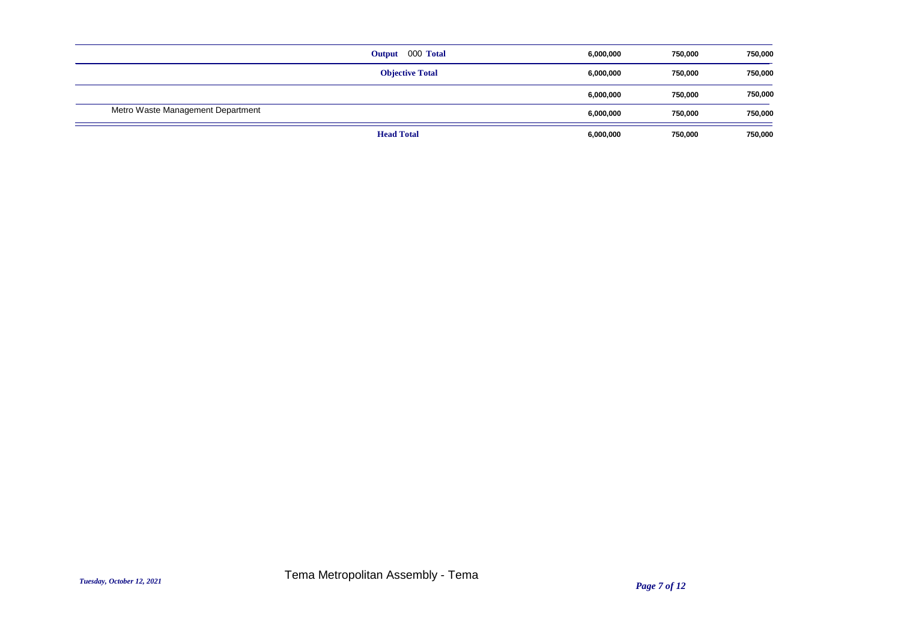|                                   | Output 000 Total       | 6,000,000 | 750,000 | 750,000 |
|-----------------------------------|------------------------|-----------|---------|---------|
|                                   | <b>Objective Total</b> | 6,000,000 | 750,000 | 750,000 |
|                                   |                        | 6,000,000 | 750,000 | 750,000 |
| Metro Waste Management Department |                        | 6,000,000 | 750,000 | 750,000 |
|                                   | <b>Head Total</b>      | 6,000,000 | 750,000 | 750,000 |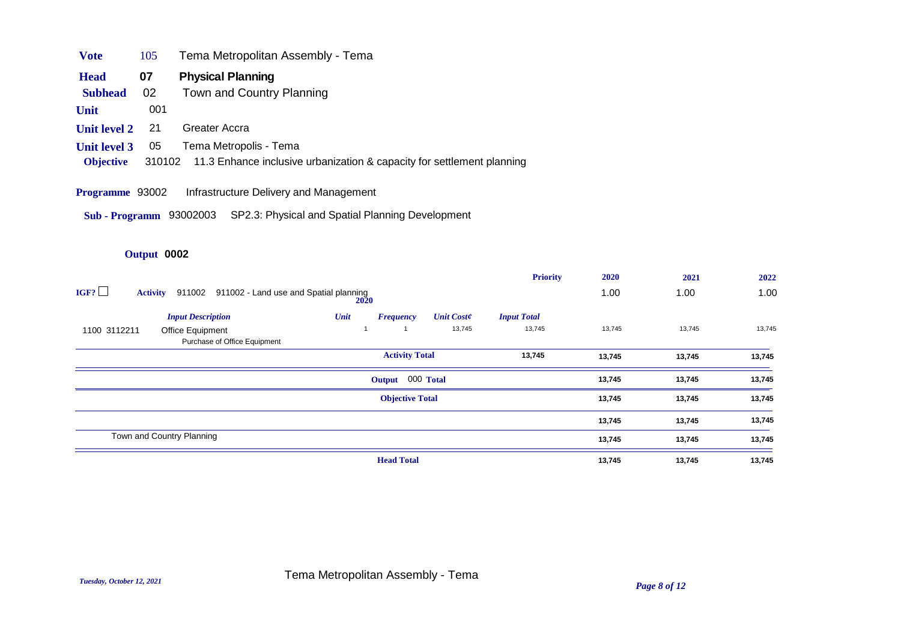| Vote             | 105 | Tema Metropolitan Assembly - Tema                                             |
|------------------|-----|-------------------------------------------------------------------------------|
| <b>Head</b>      | 07  | <b>Physical Planning</b>                                                      |
| <b>Subhead</b>   | -02 | Town and Country Planning                                                     |
| Unit             | 001 |                                                                               |
| Unit level 2     | 21  | Greater Accra                                                                 |
| Unit level 3     | 05  | Tema Metropolis - Tema                                                        |
| <b>Objective</b> |     | 310102 11.3 Enhance inclusive urbanization & capacity for settlement planning |

#### **Programme** 93002 Infrastructure Delivery and Management

**Sub - Programm** 93002003 SP2.3: Physical and Spatial Planning Development

# **Output** 0002

|                                                                             |                          |                   | <b>Priority</b>    | 2020   | 2021   | 2022   |
|-----------------------------------------------------------------------------|--------------------------|-------------------|--------------------|--------|--------|--------|
| IGF?<br>911002 - Land use and Spatial planning<br>911002<br><b>Activity</b> | <b>2020</b>              |                   |                    | 1.00   | 1.00   | 1.00   |
| <b>Input Description</b>                                                    | Unit<br><b>Frequency</b> | <b>Unit Coste</b> | <b>Input Total</b> |        |        |        |
| 1100 3112211<br>Office Equipment<br>Purchase of Office Equipment            |                          | 13,745            | 13,745             | 13,745 |        |        |
|                                                                             | <b>Activity Total</b>    |                   | 13,745             | 13,745 | 13,745 | 13,745 |
|                                                                             | Output 000 Total         |                   |                    | 13,745 | 13,745 | 13,745 |
|                                                                             | <b>Objective Total</b>   |                   |                    | 13,745 | 13,745 | 13,745 |
|                                                                             |                          |                   |                    | 13,745 | 13,745 | 13,745 |
| Town and Country Planning                                                   |                          |                   |                    | 13,745 | 13,745 | 13,745 |
|                                                                             | <b>Head Total</b>        |                   |                    | 13,745 | 13,745 | 13,745 |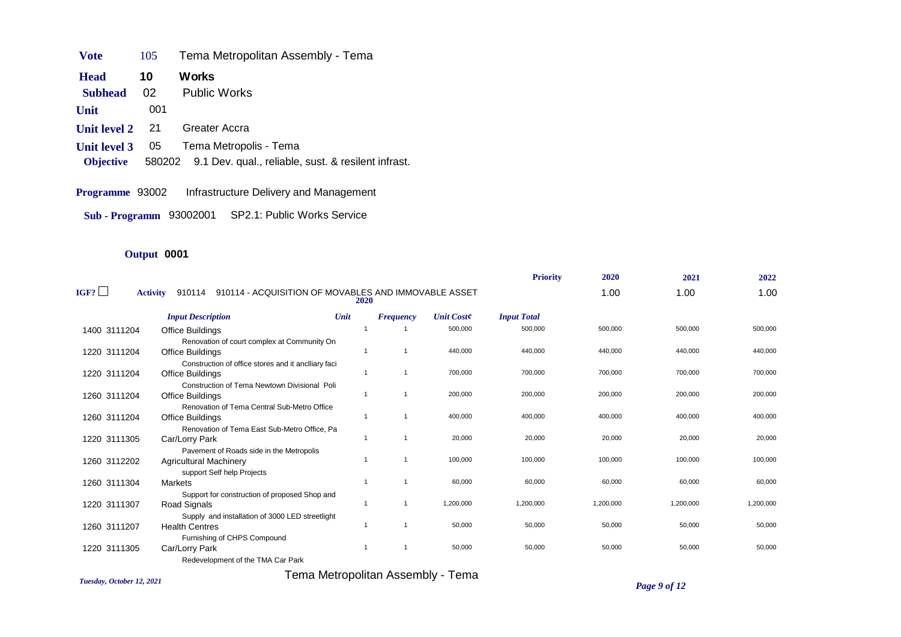**Unit level 3** 05 Tema Metropolis - Tema **Unit level 2** 21 Greater Accra **Unit** 001 **Subhead** 02 Public Works **Head** 10 Works **Vote** 105 Tema Metropolitan Assembly - Tema **Objective** 580202 9.1 Dev. qual., reliable, sust. & resilent infrast.

**Programme** 93002 Infrastructure Delivery and Management

**Sub - Programm** 93002001 SP2.1: Public Works Service

## **Output** 0001

|                            |                                                                                   |                          |                  |                   | <b>Priority</b>    | 2020      | 2021      | 2022      |
|----------------------------|-----------------------------------------------------------------------------------|--------------------------|------------------|-------------------|--------------------|-----------|-----------|-----------|
| IGF? $\mathsf{\mathsf{L}}$ | 910114 - ACQUISITION OF MOVABLES AND IMMOVABLE ASSET<br>910114<br><b>Activity</b> | 2020                     |                  |                   |                    | 1.00      | 1.00      | 1.00      |
|                            | <b>Input Description</b>                                                          | Unit                     | <b>Frequency</b> | <b>Unit Coste</b> | <b>Input Total</b> |           |           |           |
| 1400 3111204               | Office Buildings                                                                  |                          |                  | 500,000           | 500,000            | 500,000   | 500,000   | 500,000   |
| 1220 3111204               | Renovation of court complex at Community On<br>Office Buildings                   |                          |                  | 440,000           | 440,000            | 440,000   | 440,000   | 440,000   |
| 1220 3111204               | Construction of office stores and it anciliary faci<br>Office Buildings           |                          |                  | 700,000           | 700,000            | 700,000   | 700,000   | 700,000   |
| 1260 3111204               | Construction of Tema Newtown Divisional Poli<br>Office Buildings                  |                          | -1               | 200,000           | 200,000            | 200,000   | 200,000   | 200,000   |
| 1260 3111204               | Renovation of Tema Central Sub-Metro Office<br><b>Office Buildings</b>            |                          |                  | 400,000           | 400,000            | 400,000   | 400,000   | 400,000   |
| 1220 3111305               | Renovation of Tema East Sub-Metro Office. Pa<br>Car/Lorry Park                    | $\overline{\phantom{a}}$ | -1               | 20,000            | 20,000             | 20,000    | 20,000    | 20,000    |
|                            | Pavement of Roads side in the Metropolis                                          |                          |                  |                   |                    |           |           |           |
| 1260 3112202               | <b>Agricultural Machinery</b><br>support Self help Projects                       |                          |                  | 100,000           | 100,000            | 100,000   | 100,000   | 100,000   |
| 1260 3111304               | Markets                                                                           |                          |                  | 60,000            | 60,000             | 60,000    | 60,000    | 60,000    |
| 1220 3111307               | Support for construction of proposed Shop and<br>Road Signals                     |                          | -1               | 1,200,000         | 1,200,000          | 1,200,000 | 1,200,000 | 1,200,000 |
| 1260 3111207               | Supply and installation of 3000 LED streetlight<br><b>Health Centres</b>          |                          |                  | 50,000            | 50,000             | 50,000    | 50,000    | 50,000    |
| 1220 3111305               | Furnishing of CHPS Compound<br>Car/Lorry Park                                     |                          |                  | 50,000            | 50,000             | 50,000    | 50,000    | 50,000    |
|                            | $\sim$ $\sim$ $\sim$ $\sim$ $\sim$ $\sim$ $\sim$                                  |                          |                  |                   |                    |           |           |           |

Redevelopment of the TMA Car Park

Tema Metropolitan Assembly - Tema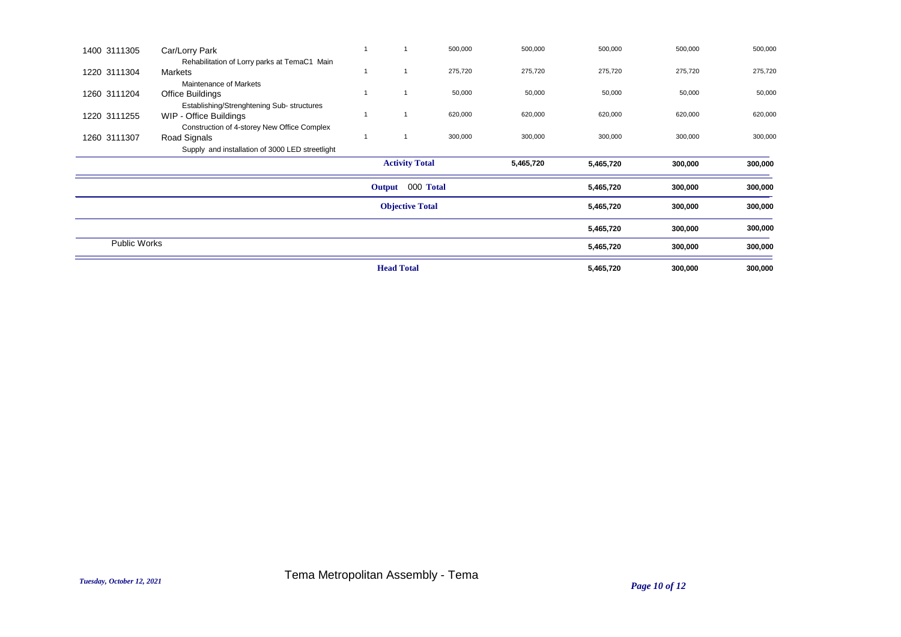| 1400 3111305        | Car/Lorry Park                                                       |                        | 500,000 | 500,000   | 500,000   | 500,000 | 500,000 |
|---------------------|----------------------------------------------------------------------|------------------------|---------|-----------|-----------|---------|---------|
|                     | Rehabilitation of Lorry parks at TemaC1 Main                         |                        |         |           |           |         |         |
| 1220 3111304        | Markets                                                              |                        | 275,720 | 275,720   | 275,720   | 275,720 | 275,720 |
|                     | Maintenance of Markets                                               |                        |         |           |           |         |         |
| 1260 3111204        | Office Buildings                                                     |                        | 50,000  | 50,000    | 50,000    | 50,000  | 50,000  |
| 1220 3111255        | Establishing/Strenghtening Sub- structures<br>WIP - Office Buildings |                        | 620,000 | 620,000   | 620,000   | 620,000 | 620,000 |
|                     | Construction of 4-storey New Office Complex                          |                        |         |           |           |         |         |
| 1260 3111307        | Road Signals                                                         |                        | 300,000 | 300,000   | 300,000   | 300,000 | 300,000 |
|                     | Supply and installation of 3000 LED streetlight                      |                        |         |           |           |         |         |
|                     |                                                                      | <b>Activity Total</b>  |         | 5,465,720 | 5,465,720 | 300,000 | 300,000 |
|                     |                                                                      | 000 Total<br>Output    |         |           | 5,465,720 | 300,000 | 300,000 |
|                     |                                                                      | <b>Objective Total</b> |         |           | 5,465,720 | 300,000 | 300,000 |
|                     |                                                                      |                        |         |           | 5,465,720 | 300,000 | 300,000 |
| <b>Public Works</b> |                                                                      |                        |         |           | 5,465,720 | 300,000 | 300,000 |
|                     |                                                                      | <b>Head Total</b>      |         |           | 5,465,720 | 300,000 | 300,000 |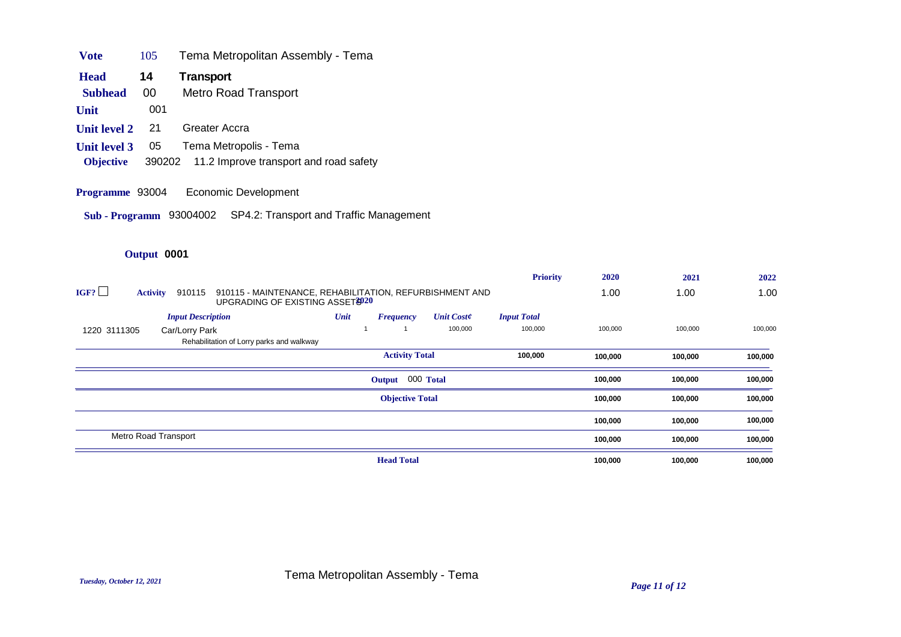| Vote                | 105 | Tema Metropolitan Assembly - Tema             |
|---------------------|-----|-----------------------------------------------|
| <b>Head</b>         | 14  | Transport                                     |
| <b>Subhead</b>      | 00  | <b>Metro Road Transport</b>                   |
| Unit                | 001 |                                               |
| <b>Unit level 2</b> | 21  | Greater Accra                                 |
| <b>Unit level 3</b> | 05  | Tema Metropolis - Tema                        |
| <b>Objective</b>    |     | 390202 11.2 Improve transport and road safety |

- **Programme** 93004 Economic Development
- **Sub Programm** 93004002 SP4.2: Transport and Traffic Management

# **Output** 0001

|                                                                       |                                                         | <b>Priority</b>    | 2020    | 2021    | 2022    |
|-----------------------------------------------------------------------|---------------------------------------------------------|--------------------|---------|---------|---------|
| IGF?<br>910115<br><b>Activity</b><br>UPGRADING OF EXISTING ASSET 3020 | 910115 - MAINTENANCE, REHABILITATION, REFURBISHMENT AND |                    | 1.00    | 1.00    | 1.00    |
| <b>Input Description</b>                                              | Unit<br><b>Unit Coste</b><br><b>Frequency</b>           | <b>Input Total</b> |         |         |         |
| 1220 3111305<br>Car/Lorry Park                                        | 100,000                                                 | 100,000            | 100,000 | 100,000 | 100,000 |
| Rehabilitation of Lorry parks and walkway                             |                                                         |                    |         |         |         |
|                                                                       | <b>Activity Total</b>                                   | 100,000            | 100,000 | 100,000 | 100,000 |
|                                                                       | Output 000 Total                                        |                    | 100,000 | 100,000 | 100,000 |
|                                                                       | <b>Objective Total</b>                                  |                    | 100,000 | 100,000 | 100,000 |
|                                                                       |                                                         |                    | 100,000 | 100,000 | 100,000 |
| Metro Road Transport                                                  |                                                         |                    | 100,000 | 100,000 | 100,000 |
|                                                                       | <b>Head Total</b>                                       |                    | 100,000 | 100,000 | 100,000 |